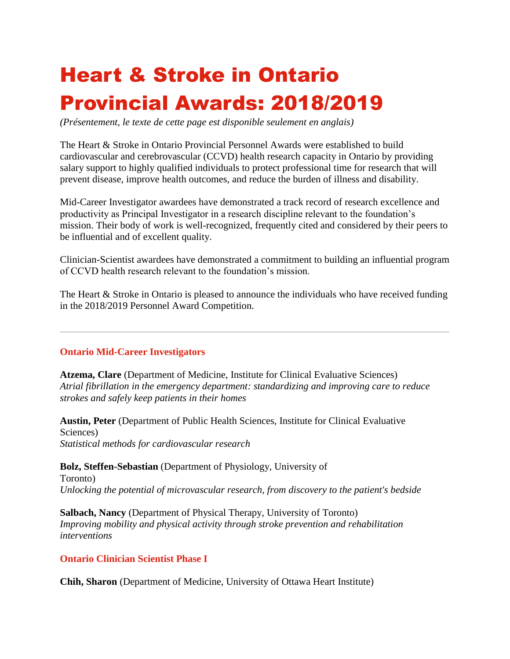## Heart & Stroke in Ontario Provincial Awards: 2018/2019

*(Présentement, le texte de cette page est disponible seulement en anglais)*

The Heart & Stroke in Ontario Provincial Personnel Awards were established to build cardiovascular and cerebrovascular (CCVD) health research capacity in Ontario by providing salary support to highly qualified individuals to protect professional time for research that will prevent disease, improve health outcomes, and reduce the burden of illness and disability.

Mid-Career Investigator awardees have demonstrated a track record of research excellence and productivity as Principal Investigator in a research discipline relevant to the foundation's mission. Their body of work is well-recognized, frequently cited and considered by their peers to be influential and of excellent quality.

Clinician-Scientist awardees have demonstrated a commitment to building an influential program of CCVD health research relevant to the foundation's mission.

The Heart & Stroke in Ontario is pleased to announce the individuals who have received funding in the 2018/2019 Personnel Award Competition.

## **Ontario Mid-Career Investigators**

**Atzema, Clare** (Department of Medicine, Institute for Clinical Evaluative Sciences) *Atrial fibrillation in the emergency department: standardizing and improving care to reduce strokes and safely keep patients in their homes*

**Austin, Peter** (Department of Public Health Sciences, Institute for Clinical Evaluative Sciences) *Statistical methods for cardiovascular research*

**Bolz, Steffen-Sebastian** (Department of Physiology, University of Toronto) *Unlocking the potential of microvascular research, from discovery to the patient's bedside*

**Salbach, Nancy** (Department of Physical Therapy, University of Toronto) *Improving mobility and physical activity through stroke prevention and rehabilitation interventions*

## **Ontario Clinician Scientist Phase I**

**Chih, Sharon** (Department of Medicine, University of Ottawa Heart Institute)